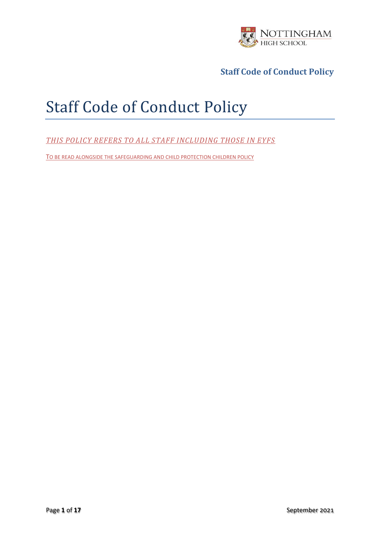

# Staff Code of Conduct Policy

*THIS POLICY REFERS TO ALL STAFF INCLUDING THOSE IN EYFS*

TO BE READ ALONGSIDE THE SAFEGUARDING AND CHILD PROTECTION CHILDREN POLICY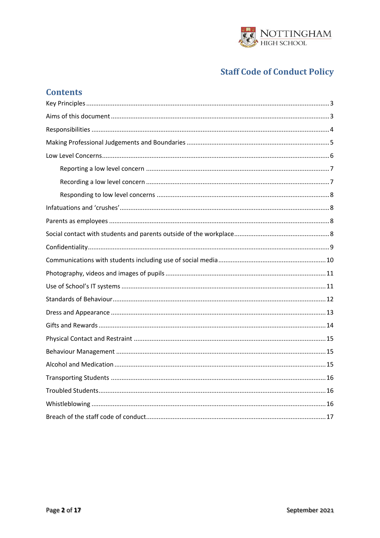

| <b>Contents</b> |
|-----------------|
|                 |
|                 |
|                 |
|                 |
|                 |
|                 |
|                 |
|                 |
|                 |
|                 |
|                 |
|                 |
|                 |
|                 |
|                 |
|                 |
|                 |
|                 |
|                 |
|                 |
|                 |
|                 |
|                 |
|                 |
|                 |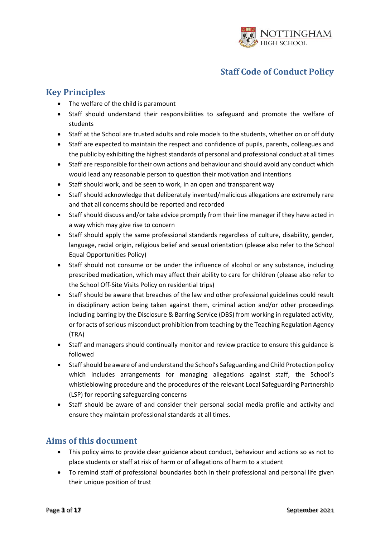

# <span id="page-2-0"></span>**Key Principles**

- The welfare of the child is paramount
- Staff should understand their responsibilities to safeguard and promote the welfare of students
- Staff at the School are trusted adults and role models to the students, whether on or off duty
- Staff are expected to maintain the respect and confidence of pupils, parents, colleagues and the public by exhibiting the highest standards of personal and professional conduct at all times
- Staff are responsible for their own actions and behaviour and should avoid any conduct which would lead any reasonable person to question their motivation and intentions
- Staff should work, and be seen to work, in an open and transparent way
- Staff should acknowledge that deliberately invented/malicious allegations are extremely rare and that all concerns should be reported and recorded
- Staff should discuss and/or take advice promptly from their line manager if they have acted in a way which may give rise to concern
- Staff should apply the same professional standards regardless of culture, disability, gender, language, racial origin, religious belief and sexual orientation (please also refer to the School Equal Opportunities Policy)
- Staff should not consume or be under the influence of alcohol or any substance, including prescribed medication, which may affect their ability to care for children (please also refer to the School Off-Site Visits Policy on residential trips)
- Staff should be aware that breaches of the law and other professional guidelines could result in disciplinary action being taken against them, criminal action and/or other proceedings including barring by the Disclosure & Barring Service (DBS) from working in regulated activity, or for acts of serious misconduct prohibition from teaching by the Teaching Regulation Agency (TRA)
- Staff and managers should continually monitor and review practice to ensure this guidance is followed
- Staff should be aware of and understand the School's Safeguarding and Child Protection policy which includes arrangements for managing allegations against staff, the School's whistleblowing procedure and the procedures of the relevant Local Safeguarding Partnership (LSP) for reporting safeguarding concerns
- Staff should be aware of and consider their personal social media profile and activity and ensure they maintain professional standards at all times.

## <span id="page-2-1"></span>**Aims of this document**

- This policy aims to provide clear guidance about conduct, behaviour and actions so as not to place students or staff at risk of harm or of allegations of harm to a student
- To remind staff of professional boundaries both in their professional and personal life given their unique position of trust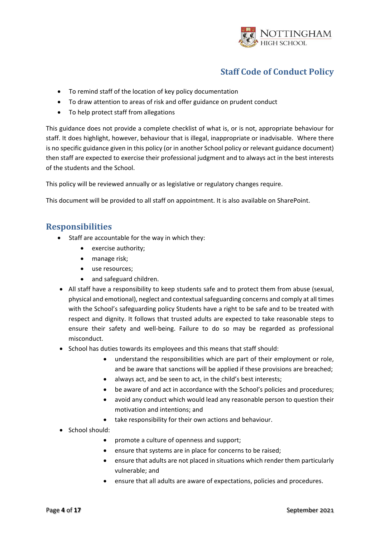

- To remind staff of the location of key policy documentation
- To draw attention to areas of risk and offer guidance on prudent conduct
- To help protect staff from allegations

This guidance does not provide a complete checklist of what is, or is not, appropriate behaviour for staff. It does highlight, however, behaviour that is illegal, inappropriate or inadvisable. Where there is no specific guidance given in this policy (or in another School policy or relevant guidance document) then staff are expected to exercise their professional judgment and to always act in the best interests of the students and the School.

This policy will be reviewed annually or as legislative or regulatory changes require.

This document will be provided to all staff on appointment. It is also available on SharePoint.

## <span id="page-3-0"></span>**Responsibilities**

- Staff are accountable for the way in which they:
	- exercise authority;
	- manage risk;
	- use resources;
	- and safeguard children.
- All staff have a responsibility to keep students safe and to protect them from abuse (sexual, physical and emotional), neglect and contextual safeguarding concerns and comply at all times with the School's safeguarding policy Students have a right to be safe and to be treated with respect and dignity. It follows that trusted adults are expected to take reasonable steps to ensure their safety and well-being. Failure to do so may be regarded as professional misconduct.
- School has duties towards its employees and this means that staff should:
	- understand the responsibilities which are part of their employment or role, and be aware that sanctions will be applied if these provisions are breached;
	- always act, and be seen to act, in the child's best interests;
	- be aware of and act in accordance with the School's policies and procedures;
	- avoid any conduct which would lead any reasonable person to question their motivation and intentions; and
	- take responsibility for their own actions and behaviour.
- School should:
	- promote a culture of openness and support;
	- ensure that systems are in place for concerns to be raised;
	- ensure that adults are not placed in situations which render them particularly vulnerable; and
	- ensure that all adults are aware of expectations, policies and procedures.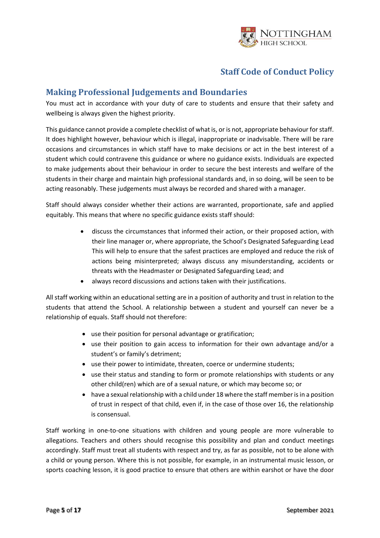

#### <span id="page-4-0"></span>**Making Professional Judgements and Boundaries**

You must act in accordance with your duty of care to students and ensure that their safety and wellbeing is always given the highest priority.

This guidance cannot provide a complete checklist of what is, or is not, appropriate behaviour for staff. It does highlight however, behaviour which is illegal, inappropriate or inadvisable. There will be rare occasions and circumstances in which staff have to make decisions or act in the best interest of a student which could contravene this guidance or where no guidance exists. Individuals are expected to make judgements about their behaviour in order to secure the best interests and welfare of the students in their charge and maintain high professional standards and, in so doing, will be seen to be acting reasonably. These judgements must always be recorded and shared with a manager.

Staff should always consider whether their actions are warranted, proportionate, safe and applied equitably. This means that where no specific guidance exists staff should:

- discuss the circumstances that informed their action, or their proposed action, with their line manager or, where appropriate, the School's Designated Safeguarding Lead This will help to ensure that the safest practices are employed and reduce the risk of actions being misinterpreted; always discuss any misunderstanding, accidents or threats with the Headmaster or Designated Safeguarding Lead; and
- always record discussions and actions taken with their justifications.

All staff working within an educational setting are in a position of authority and trust in relation to the students that attend the School. A relationship between a student and yourself can never be a relationship of equals. Staff should not therefore:

- use their position for personal advantage or gratification;
- use their position to gain access to information for their own advantage and/or a student's or family's detriment;
- use their power to intimidate, threaten, coerce or undermine students;
- use their status and standing to form or promote relationships with students or any other child(ren) which are of a sexual nature, or which may become so; or
- have a sexual relationship with a child under 18 where the staff member is in a position of trust in respect of that child, even if, in the case of those over 16, the relationship is consensual.

Staff working in one-to-one situations with children and young people are more vulnerable to allegations. Teachers and others should recognise this possibility and plan and conduct meetings accordingly. Staff must treat all students with respect and try, as far as possible, not to be alone with a child or young person. Where this is not possible, for example, in an instrumental music lesson, or sports coaching lesson, it is good practice to ensure that others are within earshot or have the door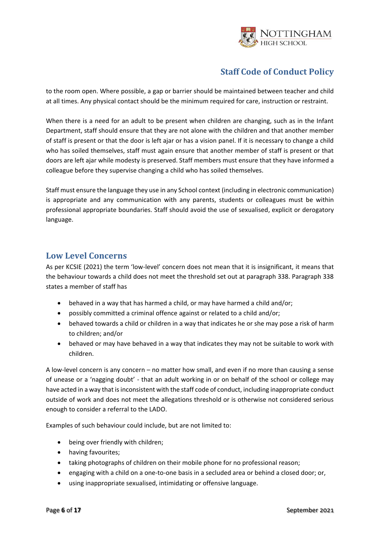

to the room open. Where possible, a gap or barrier should be maintained between teacher and child at all times. Any physical contact should be the minimum required for care, instruction or restraint.

When there is a need for an adult to be present when children are changing, such as in the Infant Department, staff should ensure that they are not alone with the children and that another member of staff is present or that the door is left ajar or has a vision panel. If it is necessary to change a child who has soiled themselves, staff must again ensure that another member of staff is present or that doors are left ajar while modesty is preserved. Staff members must ensure that they have informed a colleague before they supervise changing a child who has soiled themselves.

Staff must ensure the language they use in any School context (including in electronic communication) is appropriate and any communication with any parents, students or colleagues must be within professional appropriate boundaries. Staff should avoid the use of sexualised, explicit or derogatory language.

#### <span id="page-5-0"></span>**Low Level Concerns**

As per KCSIE (2021) the term 'low-level' concern does not mean that it is insignificant, it means that the behaviour towards a child does not meet the threshold set out at paragraph 338. Paragraph 338 states a member of staff has

- behaved in a way that has harmed a child, or may have harmed a child and/or;
- possibly committed a criminal offence against or related to a child and/or;
- behaved towards a child or children in a way that indicates he or she may pose a risk of harm to children; and/or
- behaved or may have behaved in a way that indicates they may not be suitable to work with children.

A low-level concern is any concern – no matter how small, and even if no more than causing a sense of unease or a 'nagging doubt' - that an adult working in or on behalf of the school or college may have acted in a way that is inconsistent with the staff code of conduct, including inappropriate conduct outside of work and does not meet the allegations threshold or is otherwise not considered serious enough to consider a referral to the LADO.

Examples of such behaviour could include, but are not limited to:

- being over friendly with children;
- having favourites;
- taking photographs of children on their mobile phone for no professional reason;
- engaging with a child on a one-to-one basis in a secluded area or behind a closed door; or,
- using inappropriate sexualised, intimidating or offensive language.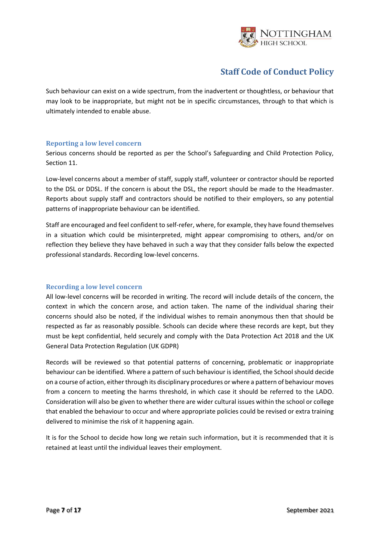

Such behaviour can exist on a wide spectrum, from the inadvertent or thoughtless, or behaviour that may look to be inappropriate, but might not be in specific circumstances, through to that which is ultimately intended to enable abuse.

#### <span id="page-6-0"></span>**Reporting a low level concern**

Serious concerns should be reported as per the School's Safeguarding and Child Protection Policy, Section 11.

Low-level concerns about a member of staff, supply staff, volunteer or contractor should be reported to the DSL or DDSL. If the concern is about the DSL, the report should be made to the Headmaster. Reports about supply staff and contractors should be notified to their employers, so any potential patterns of inappropriate behaviour can be identified.

Staff are encouraged and feel confident to self-refer, where, for example, they have found themselves in a situation which could be misinterpreted, might appear compromising to others, and/or on reflection they believe they have behaved in such a way that they consider falls below the expected professional standards. Recording low-level concerns.

#### <span id="page-6-1"></span>**Recording a low level concern**

All low-level concerns will be recorded in writing. The record will include details of the concern, the context in which the concern arose, and action taken. The name of the individual sharing their concerns should also be noted, if the individual wishes to remain anonymous then that should be respected as far as reasonably possible. Schools can decide where these records are kept, but they must be kept confidential, held securely and comply with the Data Protection Act 2018 and the UK General Data Protection Regulation (UK GDPR)

Records will be reviewed so that potential patterns of concerning, problematic or inappropriate behaviour can be identified. Where a pattern of such behaviour is identified, the School should decide on a course of action, either through its disciplinary procedures or where a pattern of behaviour moves from a concern to meeting the harms threshold, in which case it should be referred to the LADO. Consideration will also be given to whether there are wider cultural issues within the school or college that enabled the behaviour to occur and where appropriate policies could be revised or extra training delivered to minimise the risk of it happening again.

It is for the School to decide how long we retain such information, but it is recommended that it is retained at least until the individual leaves their employment.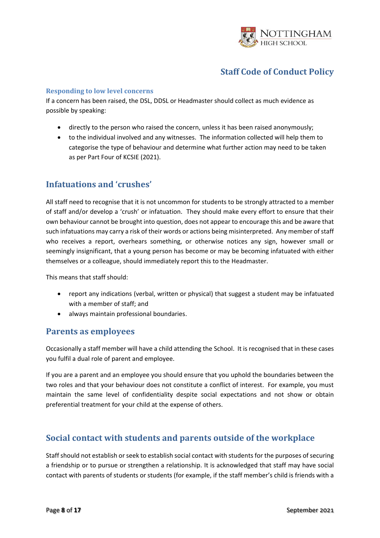

#### <span id="page-7-0"></span>**Responding to low level concerns**

If a concern has been raised, the DSL, DDSL or Headmaster should collect as much evidence as possible by speaking:

- directly to the person who raised the concern, unless it has been raised anonymously;
- to the individual involved and any witnesses. The information collected will help them to categorise the type of behaviour and determine what further action may need to be taken as per Part Four of KCSIE (2021).

#### <span id="page-7-1"></span>**Infatuations and 'crushes'**

All staff need to recognise that it is not uncommon for students to be strongly attracted to a member of staff and/or develop a 'crush' or infatuation. They should make every effort to ensure that their own behaviour cannot be brought into question, does not appear to encourage this and be aware that such infatuations may carry a risk of their words or actions being misinterpreted. Any member of staff who receives a report, overhears something, or otherwise notices any sign, however small or seemingly insignificant, that a young person has become or may be becoming infatuated with either themselves or a colleague, should immediately report this to the Headmaster.

This means that staff should:

- report any indications (verbal, written or physical) that suggest a student may be infatuated with a member of staff; and
- always maintain professional boundaries.

#### <span id="page-7-2"></span>**Parents as employees**

Occasionally a staff member will have a child attending the School. It is recognised that in these cases you fulfil a dual role of parent and employee.

If you are a parent and an employee you should ensure that you uphold the boundaries between the two roles and that your behaviour does not constitute a conflict of interest. For example, you must maintain the same level of confidentiality despite social expectations and not show or obtain preferential treatment for your child at the expense of others.

## <span id="page-7-3"></span>**Social contact with students and parents outside of the workplace**

Staff should not establish or seek to establish social contact with students for the purposes of securing a friendship or to pursue or strengthen a relationship. It is acknowledged that staff may have social contact with parents of students or students (for example, if the staff member's child is friends with a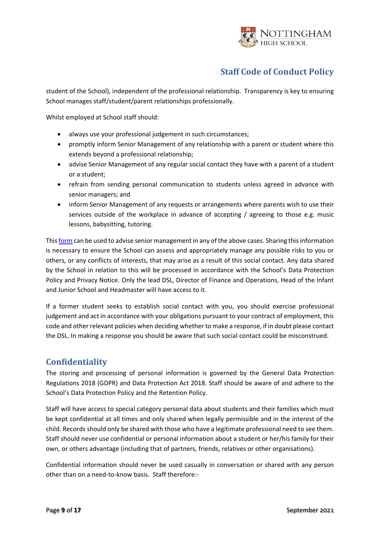

student of the School), independent of the professional relationship. Transparency is key to ensuring School manages staff/student/parent relationships professionally.

Whilst employed at School staff should:

- always use your professional judgement in such circumstances;
- promptly inform Senior Management of any relationship with a parent or student where this extends beyond a professional relationship;
- advise Senior Management of any regular social contact they have with a parent of a student or a student;
- refrain from sending personal communication to students unless agreed in advance with senior managers; and
- inform Senior Management of any requests or arrangements where parents wish to use their services outside of the workplace in advance of accepting / agreeing to those e.g. music lessons, babysitting, tutoring.

This [form](https://forms.office.com/Pages/ResponsePage.aspx?id=OAS8FZadcEChtJhNCZ_J93-f4SrLa3ROlq5SarWbwtlUQjJHTDJKSzlIWFJDUjM3TUNGVldJMVdWUy4u) can be used to advise senior management in any of the above cases. Sharing this information is necessary to ensure the School can assess and appropriately manage any possible risks to you or others, or any conflicts of interests, that may arise as a result of this social contact. Any data shared by the School in relation to this will be processed in accordance with the School's Data Protection Policy and Privacy Notice. Only the lead DSL, Director of Finance and Operations, Head of the Infant and Junior School and Headmaster will have access to it.

If a former student seeks to establish social contact with you, you should exercise professional judgement and act in accordance with your obligations pursuant to your contract of employment, this code and other relevant policies when deciding whether to make a response, if in doubt please contact the DSL. In making a response you should be aware that such social contact could be misconstrued.

## <span id="page-8-0"></span>**Confidentiality**

The storing and processing of personal information is governed by the General Data Protection Regulations 2018 (GDPR) and Data Protection Act 2018. Staff should be aware of and adhere to the School's Data Protection Policy and the Retention Policy.

Staff will have access to special category personal data about students and their families which must be kept confidential at all times and only shared when legally permissible and in the interest of the child. Records should only be shared with those who have a legitimate professional need to see them. Staff should never use confidential or personal information about a student or her/his family for their own, or others advantage (including that of partners, friends, relatives or other organisations).

Confidential information should never be used casually in conversation or shared with any person other than on a need-to-know basis. Staff therefore:-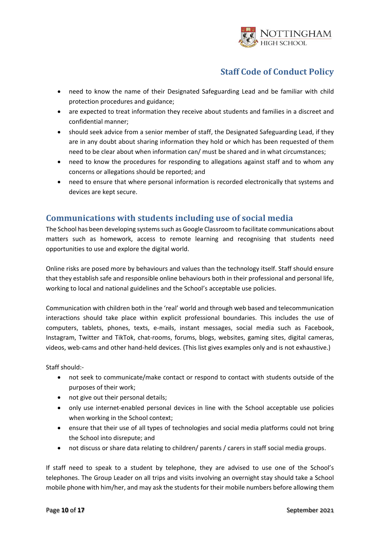

- need to know the name of their Designated Safeguarding Lead and be familiar with child protection procedures and guidance;
- are expected to treat information they receive about students and families in a discreet and confidential manner;
- should seek advice from a senior member of staff, the Designated Safeguarding Lead, if they are in any doubt about sharing information they hold or which has been requested of them need to be clear about when information can/ must be shared and in what circumstances;
- need to know the procedures for responding to allegations against staff and to whom any concerns or allegations should be reported; and
- need to ensure that where personal information is recorded electronically that systems and devices are kept secure.

#### <span id="page-9-0"></span>**Communications with students including use of social media**

The School has been developing systems such as Google Classroom to facilitate communications about matters such as homework, access to remote learning and recognising that students need opportunities to use and explore the digital world.

Online risks are posed more by behaviours and values than the technology itself. Staff should ensure that they establish safe and responsible online behaviours both in their professional and personal life, working to local and national guidelines and the School's acceptable use policies.

Communication with children both in the 'real' world and through web based and telecommunication interactions should take place within explicit professional boundaries. This includes the use of computers, tablets, phones, texts, e-mails, instant messages, social media such as Facebook, Instagram, Twitter and TikTok, chat-rooms, forums, blogs, websites, gaming sites, digital cameras, videos, web-cams and other hand-held devices. (This list gives examples only and is not exhaustive.)

Staff should:-

- not seek to communicate/make contact or respond to contact with students outside of the purposes of their work;
- not give out their personal details;
- only use internet-enabled personal devices in line with the School acceptable use policies when working in the School context;
- ensure that their use of all types of technologies and social media platforms could not bring the School into disrepute; and
- not discuss or share data relating to children/ parents / carers in staff social media groups.

If staff need to speak to a student by telephone, they are advised to use one of the School's telephones. The Group Leader on all trips and visits involving an overnight stay should take a School mobile phone with him/her, and may ask the students for their mobile numbers before allowing them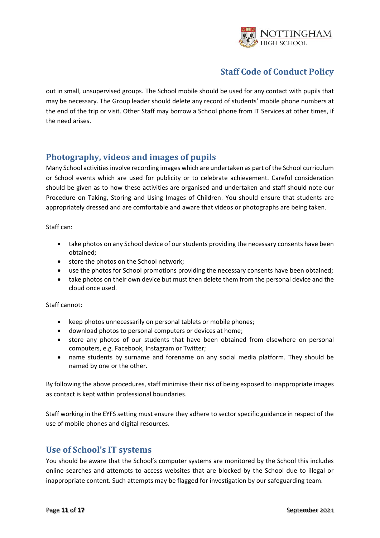

out in small, unsupervised groups. The School mobile should be used for any contact with pupils that may be necessary. The Group leader should delete any record of students' mobile phone numbers at the end of the trip or visit. Other Staff may borrow a School phone from IT Services at other times, if the need arises.

## <span id="page-10-0"></span>**Photography, videos and images of pupils**

Many School activities involve recording images which are undertaken as part of the School curriculum or School events which are used for publicity or to celebrate achievement. Careful consideration should be given as to how these activities are organised and undertaken and staff should note our Procedure on Taking, Storing and Using Images of Children. You should ensure that students are appropriately dressed and are comfortable and aware that videos or photographs are being taken.

Staff can:

- take photos on any School device of our students providing the necessary consents have been obtained;
- store the photos on the School network;
- use the photos for School promotions providing the necessary consents have been obtained;
- take photos on their own device but must then delete them from the personal device and the cloud once used.

Staff cannot:

- keep photos unnecessarily on personal tablets or mobile phones;
- download photos to personal computers or devices at home;
- store any photos of our students that have been obtained from elsewhere on personal computers, e.g. Facebook, Instagram or Twitter;
- name students by surname and forename on any social media platform. They should be named by one or the other.

By following the above procedures, staff minimise their risk of being exposed to inappropriate images as contact is kept within professional boundaries.

Staff working in the EYFS setting must ensure they adhere to sector specific guidance in respect of the use of mobile phones and digital resources.

#### <span id="page-10-1"></span>**Use of School's IT systems**

You should be aware that the School's computer systems are monitored by the School this includes online searches and attempts to access websites that are blocked by the School due to illegal or inappropriate content. Such attempts may be flagged for investigation by our safeguarding team.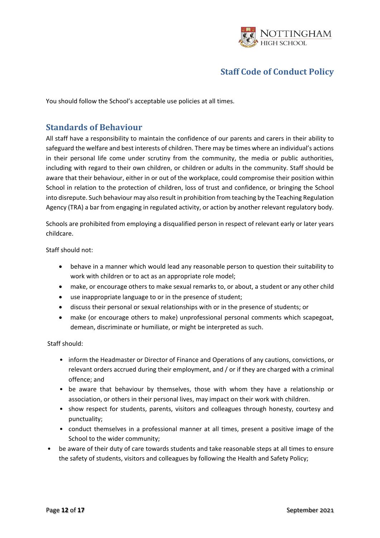

<span id="page-11-0"></span>You should follow the School's acceptable use policies at all times.

#### **Standards of Behaviour**

All staff have a responsibility to maintain the confidence of our parents and carers in their ability to safeguard the welfare and best interests of children. There may be times where an individual's actions in their personal life come under scrutiny from the community, the media or public authorities, including with regard to their own children, or children or adults in the community. Staff should be aware that their behaviour, either in or out of the workplace, could compromise their position within School in relation to the protection of children, loss of trust and confidence, or bringing the School into disrepute. Such behaviour may also result in prohibition from teaching by the Teaching Regulation Agency (TRA) a bar from engaging in regulated activity, or action by another relevant regulatory body.

Schools are prohibited from employing a disqualified person in respect of relevant early or later years childcare.

Staff should not:

- behave in a manner which would lead any reasonable person to question their suitability to work with children or to act as an appropriate role model;
- make, or encourage others to make sexual remarks to, or about, a student or any other child
- use inappropriate language to or in the presence of student;
- discuss their personal or sexual relationships with or in the presence of students; or
- make (or encourage others to make) unprofessional personal comments which scapegoat, demean, discriminate or humiliate, or might be interpreted as such.

Staff should:

- inform the Headmaster or Director of Finance and Operations of any cautions, convictions, or relevant orders accrued during their employment, and / or if they are charged with a criminal offence; and
- be aware that behaviour by themselves, those with whom they have a relationship or association, or others in their personal lives, may impact on their work with children.
- show respect for students, parents, visitors and colleagues through honesty, courtesy and punctuality;
- conduct themselves in a professional manner at all times, present a positive image of the School to the wider community;
- be aware of their duty of care towards students and take reasonable steps at all times to ensure the safety of students, visitors and colleagues by following the Health and Safety Policy;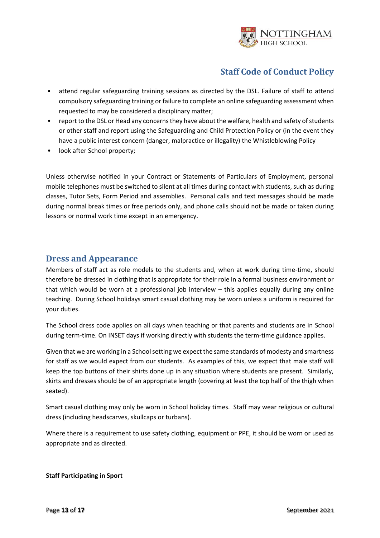

- attend regular safeguarding training sessions as directed by the DSL. Failure of staff to attend compulsory safeguarding training or failure to complete an online safeguarding assessment when requested to may be considered a disciplinary matter;
- report to the DSL or Head any concerns they have about the welfare, health and safety of students or other staff and report using the Safeguarding and Child Protection Policy or (in the event they have a public interest concern (danger, malpractice or illegality) the Whistleblowing Policy
- look after School property;

Unless otherwise notified in your Contract or Statements of Particulars of Employment, personal mobile telephones must be switched to silent at all times during contact with students, such as during classes, Tutor Sets, Form Period and assemblies. Personal calls and text messages should be made during normal break times or free periods only, and phone calls should not be made or taken during lessons or normal work time except in an emergency.

#### <span id="page-12-0"></span>**Dress and Appearance**

Members of staff act as role models to the students and, when at work during time-time, should therefore be dressed in clothing that is appropriate for their role in a formal business environment or that which would be worn at a professional job interview – this applies equally during any online teaching. During School holidays smart casual clothing may be worn unless a uniform is required for your duties.

The School dress code applies on all days when teaching or that parents and students are in School during term-time. On INSET days if working directly with students the term-time guidance applies.

Given that we are working in a School setting we expect the same standards of modesty and smartness for staff as we would expect from our students.As examples of this, we expect that male staff will keep the top buttons of their shirts done up in any situation where students are present. Similarly, skirts and dresses should be of an appropriate length (covering at least the top half of the thigh when seated).

Smart casual clothing may only be worn in School holiday times. Staff may wear religious or cultural dress (including headscarves, skullcaps or turbans).

Where there is a requirement to use safety clothing, equipment or PPE, it should be worn or used as appropriate and as directed.

#### **Staff Participating in Sport**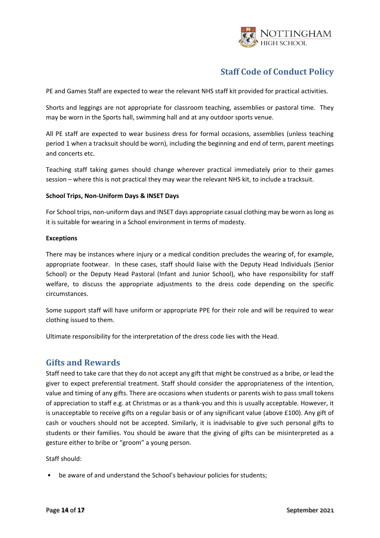

PE and Games Staff are expected to wear the relevant NHS staff kit provided for practical activities.

Shorts and leggings are not appropriate for classroom teaching, assemblies or pastoral time. They may be worn in the Sports hall, swimming hall and at any outdoor sports venue.

All PE staff are expected to wear business dress for formal occasions, assemblies (unless teaching period 1 when a tracksuit should be worn), including the beginning and end of term, parent meetings and concerts etc.

Teaching staff taking games should change wherever practical immediately prior to their games session – where this is not practical they may wear the relevant NHS kit, to include a tracksuit.

#### **School Trips, Non-Uniform Days & INSET Days**

For School trips, non-uniform days and INSET days appropriate casual clothing may be worn as long as it is suitable for wearing in a School environment in terms of modesty.

#### **Exceptions**

There may be instances where injury or a medical condition precludes the wearing of, for example, appropriate footwear. In these cases, staff should liaise with the Deputy Head Individuals (Senior School) or the Deputy Head Pastoral (Infant and Junior School), who have responsibility for staff welfare, to discuss the appropriate adjustments to the dress code depending on the specific circumstances.

Some support staff will have uniform or appropriate PPE for their role and will be required to wear clothing issued to them.

Ultimate responsibility for the interpretation of the dress code lies with the Head.

#### <span id="page-13-0"></span>**Gifts and Rewards**

Staff need to take care that they do not accept any gift that might be construed as a bribe, or lead the giver to expect preferential treatment. Staff should consider the appropriateness of the intention, value and timing of any gifts. There are occasions when students or parents wish to pass small tokens of appreciation to staff e.g. at Christmas or as a thank-you and this is usually acceptable. However, it is unacceptable to receive gifts on a regular basis or of any significant value (above £100). Any gift of cash or vouchers should not be accepted. Similarly, it is inadvisable to give such personal gifts to students or their families. You should be aware that the giving of gifts can be misinterpreted as a gesture either to bribe or "groom" a young person.

Staff should:

be aware of and understand the School's behaviour policies for students;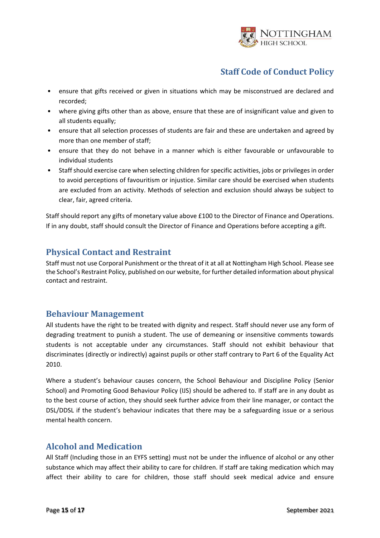

- ensure that gifts received or given in situations which may be misconstrued are declared and recorded;
- where giving gifts other than as above, ensure that these are of insignificant value and given to all students equally;
- ensure that all selection processes of students are fair and these are undertaken and agreed by more than one member of staff;
- ensure that they do not behave in a manner which is either favourable or unfavourable to individual students
- Staff should exercise care when selecting children for specific activities, jobs or privileges in order to avoid perceptions of favouritism or injustice. Similar care should be exercised when students are excluded from an activity. Methods of selection and exclusion should always be subject to clear, fair, agreed criteria.

Staff should report any gifts of monetary value above £100 to the Director of Finance and Operations. If in any doubt, staff should consult the Director of Finance and Operations before accepting a gift.

## <span id="page-14-0"></span>**Physical Contact and Restraint**

Staff must not use Corporal Punishment or the threat of it at all at Nottingham High School. Please see the School's Restraint Policy, published on our website, for further detailed information about physical contact and restraint.

## <span id="page-14-1"></span>**Behaviour Management**

All students have the right to be treated with dignity and respect. Staff should never use any form of degrading treatment to punish a student. The use of demeaning or insensitive comments towards students is not acceptable under any circumstances. Staff should not exhibit behaviour that discriminates (directly or indirectly) against pupils or other staff contrary to Part 6 of the Equality Act 2010.

Where a student's behaviour causes concern, the School Behaviour and Discipline Policy (Senior School) and Promoting Good Behaviour Policy (IJS) should be adhered to. If staff are in any doubt as to the best course of action, they should seek further advice from their line manager, or contact the DSL/DDSL if the student's behaviour indicates that there may be a safeguarding issue or a serious mental health concern.

#### <span id="page-14-2"></span>**Alcohol and Medication**

All Staff (Including those in an EYFS setting) must not be under the influence of alcohol or any other substance which may affect their ability to care for children. If staff are taking medication which may affect their ability to care for children, those staff should seek medical advice and ensure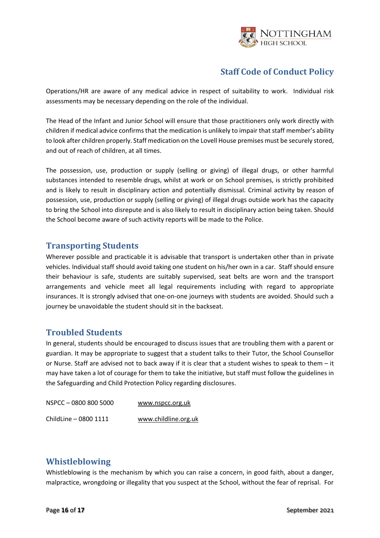

Operations/HR are aware of any medical advice in respect of suitability to work. Individual risk assessments may be necessary depending on the role of the individual.

The Head of the Infant and Junior School will ensure that those practitioners only work directly with children if medical advice confirms that the medication is unlikely to impair that staff member's ability to look after children properly. Staff medication on the Lovell House premises must be securely stored, and out of reach of children, at all times.

The possession, use, production or supply (selling or giving) of illegal drugs, or other harmful substances intended to resemble drugs, whilst at work or on School premises, is strictly prohibited and is likely to result in disciplinary action and potentially dismissal. Criminal activity by reason of possession, use, production or supply (selling or giving) of illegal drugs outside work has the capacity to bring the School into disrepute and is also likely to result in disciplinary action being taken. Should the School become aware of such activity reports will be made to the Police.

#### <span id="page-15-0"></span>**Transporting Students**

Wherever possible and practicable it is advisable that transport is undertaken other than in private vehicles. Individual staff should avoid taking one student on his/her own in a car. Staff should ensure their behaviour is safe, students are suitably supervised, seat belts are worn and the transport arrangements and vehicle meet all legal requirements including with regard to appropriate insurances. It is strongly advised that one-on-one journeys with students are avoided. Should such a journey be unavoidable the student should sit in the backseat.

## <span id="page-15-1"></span>**Troubled Students**

In general, students should be encouraged to discuss issues that are troubling them with a parent or guardian. It may be appropriate to suggest that a student talks to their Tutor, the School Counsellor or Nurse. Staff are advised not to back away if it is clear that a student wishes to speak to them – it may have taken a lot of courage for them to take the initiative, but staff must follow the guidelines in the Safeguarding and Child Protection Policy regarding disclosures.

| NSPCC-0800 800 5000   | www.nspcc.org.uk     |
|-----------------------|----------------------|
| ChildLine - 0800 1111 | www.childline.org.uk |

#### <span id="page-15-2"></span>**Whistleblowing**

Whistleblowing is the mechanism by which you can raise a concern, in good faith, about a danger, malpractice, wrongdoing or illegality that you suspect at the School, without the fear of reprisal. For